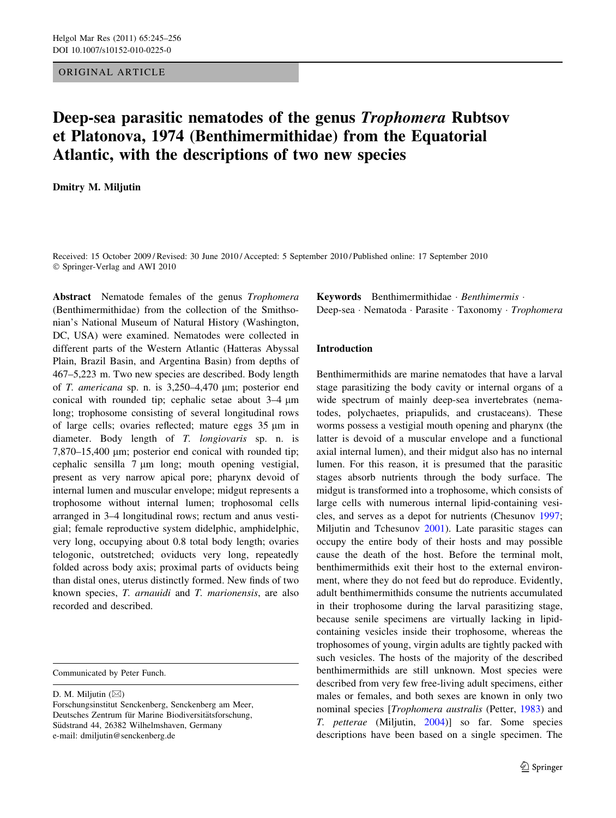# ORIGINAL ARTICLE

# Deep-sea parasitic nematodes of the genus Trophomera Rubtsov et Platonova, 1974 (Benthimermithidae) from the Equatorial Atlantic, with the descriptions of two new species

Dmitry M. Miljutin

Received: 15 October 2009 / Revised: 30 June 2010 / Accepted: 5 September 2010 / Published online: 17 September 2010 © Springer-Verlag and AWI 2010

Abstract Nematode females of the genus *Trophomera* (Benthimermithidae) from the collection of the Smithsonian's National Museum of Natural History (Washington, DC, USA) were examined. Nematodes were collected in different parts of the Western Atlantic (Hatteras Abyssal Plain, Brazil Basin, and Argentina Basin) from depths of 467–5,223 m. Two new species are described. Body length of T. americana sp. n. is  $3,250-4,470$  µm; posterior end conical with rounded tip; cephalic setae about  $3-4 \mu m$ long; trophosome consisting of several longitudinal rows of large cells; ovaries reflected; mature eggs  $35 \mu m$  in diameter. Body length of T. longiovaris sp. n. is 7,870–15,400 µm; posterior end conical with rounded tip; cephalic sensilla  $7 \mu m$  long; mouth opening vestigial, present as very narrow apical pore; pharynx devoid of internal lumen and muscular envelope; midgut represents a trophosome without internal lumen; trophosomal cells arranged in 3–4 longitudinal rows; rectum and anus vestigial; female reproductive system didelphic, amphidelphic, very long, occupying about 0.8 total body length; ovaries telogonic, outstretched; oviducts very long, repeatedly folded across body axis; proximal parts of oviducts being than distal ones, uterus distinctly formed. New finds of two known species, T. arnauidi and T. marionensis, are also recorded and described.

Communicated by Peter Funch.

D. M. Miljutin  $(\boxtimes)$ 

Keywords Benthimermithidae Benthimermis Deep-sea · Nematoda · Parasite · Taxonomy · Trophomera

# Introduction

Benthimermithids are marine nematodes that have a larval stage parasitizing the body cavity or internal organs of a wide spectrum of mainly deep-sea invertebrates (nematodes, polychaetes, priapulids, and crustaceans). These worms possess a vestigial mouth opening and pharynx (the latter is devoid of a muscular envelope and a functional axial internal lumen), and their midgut also has no internal lumen. For this reason, it is presumed that the parasitic stages absorb nutrients through the body surface. The midgut is transformed into a trophosome, which consists of large cells with numerous internal lipid-containing vesicles, and serves as a depot for nutrients (Chesunov [1997](#page-10-0); Miljutin and Tchesunov [2001\)](#page-11-0). Late parasitic stages can occupy the entire body of their hosts and may possible cause the death of the host. Before the terminal molt, benthimermithids exit their host to the external environment, where they do not feed but do reproduce. Evidently, adult benthimermithids consume the nutrients accumulated in their trophosome during the larval parasitizing stage, because senile specimens are virtually lacking in lipidcontaining vesicles inside their trophosome, whereas the trophosomes of young, virgin adults are tightly packed with such vesicles. The hosts of the majority of the described benthimermithids are still unknown. Most species were described from very few free-living adult specimens, either males or females, and both sexes are known in only two nominal species [Trophomera australis (Petter, [1983\)](#page-11-0) and T. petterae (Miljutin, [2004](#page-11-0))] so far. Some species descriptions have been based on a single specimen. The

Forschungsinstitut Senckenberg, Senckenberg am Meer, Deutsches Zentrum für Marine Biodiversitätsforschung, Südstrand 44, 26382 Wilhelmshaven, Germany e-mail: dmiljutin@senckenberg.de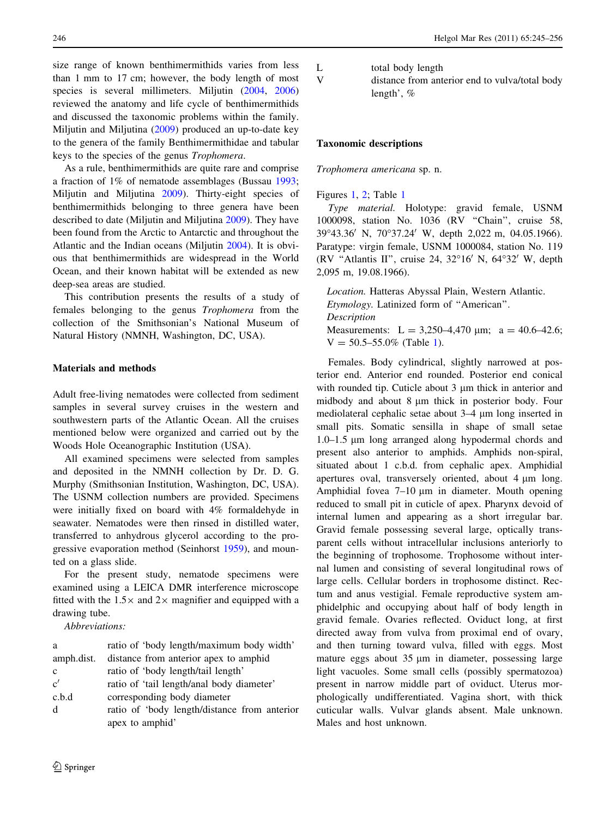size range of known benthimermithids varies from less than 1 mm to 17 cm; however, the body length of most species is several millimeters. Miljutin [\(2004](#page-11-0), [2006\)](#page-11-0) reviewed the anatomy and life cycle of benthimermithids and discussed the taxonomic problems within the family. Miljutin and Miljutina [\(2009](#page-11-0)) produced an up-to-date key to the genera of the family Benthimermithidae and tabular keys to the species of the genus Trophomera.

As a rule, benthimermithids are quite rare and comprise a fraction of 1% of nematode assemblages (Bussau [1993](#page-10-0); Miljutin and Miljutina [2009\)](#page-11-0). Thirty-eight species of benthimermithids belonging to three genera have been described to date (Miljutin and Miljutina [2009](#page-11-0)). They have been found from the Arctic to Antarctic and throughout the Atlantic and the Indian oceans (Miljutin [2004](#page-11-0)). It is obvious that benthimermithids are widespread in the World Ocean, and their known habitat will be extended as new deep-sea areas are studied.

This contribution presents the results of a study of females belonging to the genus Trophomera from the collection of the Smithsonian's National Museum of Natural History (NMNH, Washington, DC, USA).

# Materials and methods

Adult free-living nematodes were collected from sediment samples in several survey cruises in the western and southwestern parts of the Atlantic Ocean. All the cruises mentioned below were organized and carried out by the Woods Hole Oceanographic Institution (USA).

All examined specimens were selected from samples and deposited in the NMNH collection by Dr. D. G. Murphy (Smithsonian Institution, Washington, DC, USA). The USNM collection numbers are provided. Specimens were initially fixed on board with 4% formaldehyde in seawater. Nematodes were then rinsed in distilled water, transferred to anhydrous glycerol according to the progressive evaporation method (Seinhorst [1959\)](#page-11-0), and mounted on a glass slide.

For the present study, nematode specimens were examined using a LEICA DMR interference microscope fitted with the  $1.5\times$  and  $2\times$  magnifier and equipped with a drawing tube.

Abbreviations:

| a            | ratio of 'body length/maximum body width'    |
|--------------|----------------------------------------------|
| amph.dist.   | distance from anterior apex to amphid        |
| $\mathbf{c}$ | ratio of 'body length/tail length'           |
| c'           | ratio of 'tail length/anal body diameter'    |
| c.b.d        | corresponding body diameter                  |
| d            | ratio of 'body length/distance from anterior |
|              | apex to amphid'                              |

L total body length

V distance from anterior end to vulva/total body length', %

#### Taxonomic descriptions

Trophomera americana sp. n.

Figures [1](#page-2-0), [2](#page-3-0); Table [1](#page-3-0)

Type material. Holotype: gravid female, USNM 1000098, station No. 1036 (RV ''Chain'', cruise 58, 39°43.36' N, 70°37.24' W, depth 2,022 m, 04.05.1966). Paratype: virgin female, USNM 1000084, station No. 119 (RV "Atlantis II", cruise 24,  $32^{\circ}16'$  N,  $64^{\circ}32'$  W, depth 2,095 m, 19.08.1966).

Location. Hatteras Abyssal Plain, Western Atlantic. Etymology. Latinized form of ''American''. Description Measurements: L = 3,250-4,470  $\mu$ m; a = 40.6-42.6;  $V = 50.5 - 55.0\%$  (Table [1\)](#page-3-0).

Females. Body cylindrical, slightly narrowed at posterior end. Anterior end rounded. Posterior end conical with rounded tip. Cuticle about  $3 \mu m$  thick in anterior and midbody and about 8  $\mu$ m thick in posterior body. Four mediolateral cephalic setae about 3–4  $\mu$ m long inserted in small pits. Somatic sensilla in shape of small setae 1.0–1.5 lm long arranged along hypodermal chords and present also anterior to amphids. Amphids non-spiral, situated about 1 c.b.d. from cephalic apex. Amphidial apertures oval, transversely oriented, about 4  $\mu$ m long. Amphidial fovea  $7-10 \mu m$  in diameter. Mouth opening reduced to small pit in cuticle of apex. Pharynx devoid of internal lumen and appearing as a short irregular bar. Gravid female possessing several large, optically transparent cells without intracellular inclusions anteriorly to the beginning of trophosome. Trophosome without internal lumen and consisting of several longitudinal rows of large cells. Cellular borders in trophosome distinct. Rectum and anus vestigial. Female reproductive system amphidelphic and occupying about half of body length in gravid female. Ovaries reflected. Oviduct long, at first directed away from vulva from proximal end of ovary, and then turning toward vulva, filled with eggs. Most mature eggs about  $35 \mu m$  in diameter, possessing large light vacuoles. Some small cells (possibly spermatozoa) present in narrow middle part of oviduct. Uterus morphologically undifferentiated. Vagina short, with thick cuticular walls. Vulvar glands absent. Male unknown. Males and host unknown.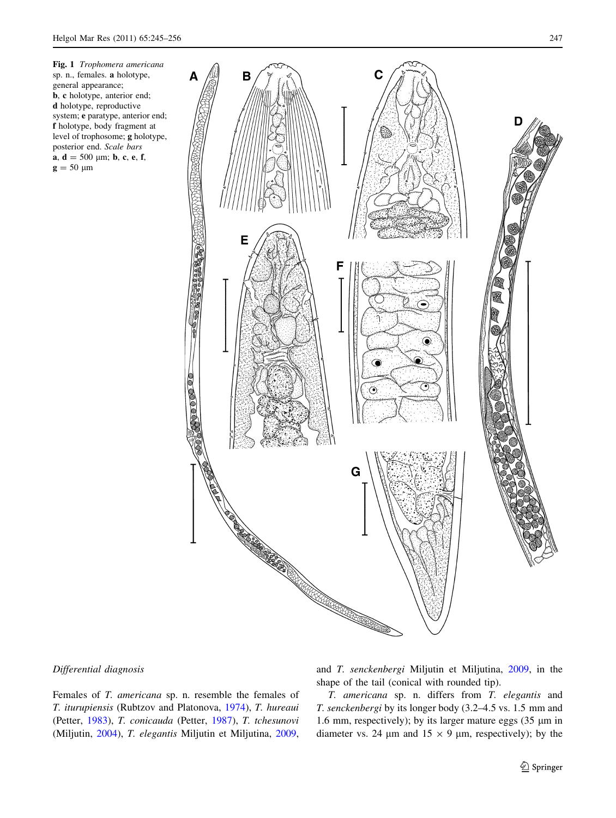<span id="page-2-0"></span>posterior end. Scale bars a,  $d = 500 \text{ }\mu\text{m}$ ; b, c, e, f,

 $g = 50 \mu m$ 



# Differential diagnosis

Females of T. americana sp. n. resemble the females of T. iturupiensis (Rubtzov and Platonova, [1974](#page-11-0)), T. hureaui (Petter, [1983](#page-11-0)), T. conicauda (Petter, [1987\)](#page-11-0), T. tchesunovi (Miljutin, [2004\)](#page-11-0), T. elegantis Miljutin et Miljutina, [2009,](#page-11-0) and T. senckenbergi Miljutin et Miljutina, [2009,](#page-11-0) in the shape of the tail (conical with rounded tip).

T. americana sp. n. differs from T. elegantis and T. senckenbergi by its longer body (3.2–4.5 vs. 1.5 mm and 1.6 mm, respectively); by its larger mature eggs  $(35 \mu m)$  in diameter vs. 24  $\mu$ m and 15  $\times$  9  $\mu$ m, respectively); by the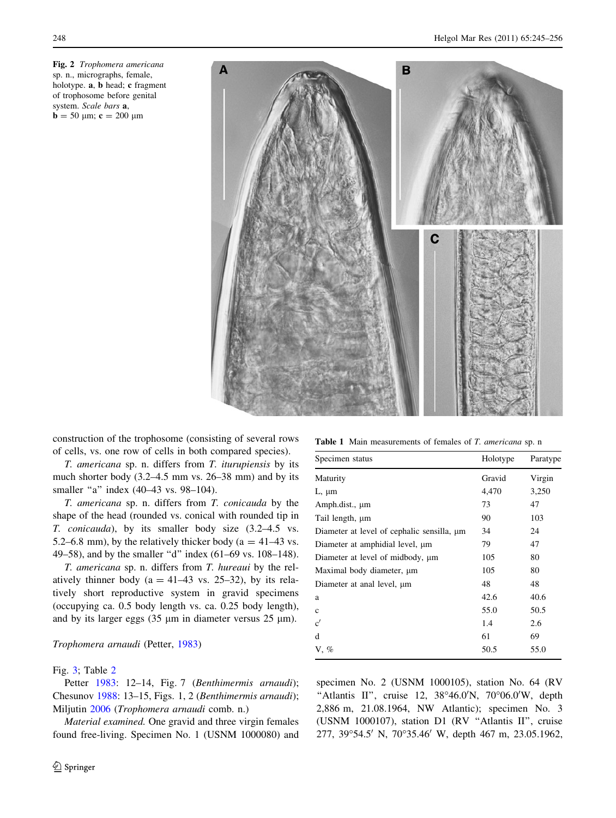<span id="page-3-0"></span>



construction of the trophosome (consisting of several rows of cells, vs. one row of cells in both compared species).

T. americana sp. n. differs from T. iturupiensis by its much shorter body (3.2–4.5 mm vs. 26–38 mm) and by its smaller "a" index (40–43 vs. 98–104).

T. americana sp. n. differs from T. conicauda by the shape of the head (rounded vs. conical with rounded tip in T. conicauda), by its smaller body size (3.2–4.5 vs. 5.2–6.8 mm), by the relatively thicker body ( $a = 41-43$  vs. 49–58), and by the smaller ''d'' index (61–69 vs. 108–148).

T. americana sp. n. differs from T. hureaui by the relatively thinner body ( $a = 41-43$  vs. 25-32), by its relatively short reproductive system in gravid specimens (occupying ca. 0.5 body length vs. ca. 0.25 body length), and by its larger eggs  $(35 \mu m)$  in diameter versus  $25 \mu m$ ).

#### Trophomera arnaudi (Petter, [1983\)](#page-11-0)

#### Fig. [3](#page-4-0); Table [2](#page-5-0)

Petter [1983](#page-11-0): 12-14, Fig. 7 (Benthimermis arnaudi); Chesunov [1988:](#page-10-0) 13–15, Figs. 1, 2 (Benthimermis arnaudi); Miljutin [2006](#page-11-0) (Trophomera arnaudi comb. n.)

Material examined. One gravid and three virgin females found free-living. Specimen No. 1 (USNM 1000080) and

Table 1 Main measurements of females of T. americana sp. n

| Specimen status                                 | Holotype | Paratype |  |
|-------------------------------------------------|----------|----------|--|
| Maturity                                        | Gravid   | Virgin   |  |
| $L, \mu m$                                      | 4,470    | 3,250    |  |
| Amph.dist., µm                                  | 73       | 47       |  |
| Tail length, µm                                 | 90       | 103      |  |
| Diameter at level of cephalic sensilla, $\mu$ m | 34       | 24       |  |
| Diameter at amphidial level, $\mu$ m            | 79       | 47       |  |
| Diameter at level of midbody, $\mu$ m           | 105      | 80       |  |
| Maximal body diameter, $\mu$ m                  | 105      | 80       |  |
| Diameter at anal level, $\mu$ m                 | 48       | 48       |  |
| a                                               | 42.6     | 40.6     |  |
| $\mathbf{c}$                                    | 55.0     | 50.5     |  |
| c'                                              | 1.4      | 2.6      |  |
| d                                               | 61       | 69       |  |
| $V, \%$                                         | 50.5     | 55.0     |  |
|                                                 |          |          |  |

specimen No. 2 (USNM 1000105), station No. 64 (RV "Atlantis II", cruise 12,  $38^{\circ}46.0^{\prime}$ N,  $70^{\circ}06.0^{\prime}$ W, depth 2,886 m, 21.08.1964, NW Atlantic); specimen No. 3 (USNM 1000107), station D1 (RV ''Atlantis II'', cruise 277, 39°54.5' N, 70°35.46' W, depth 467 m, 23.05.1962,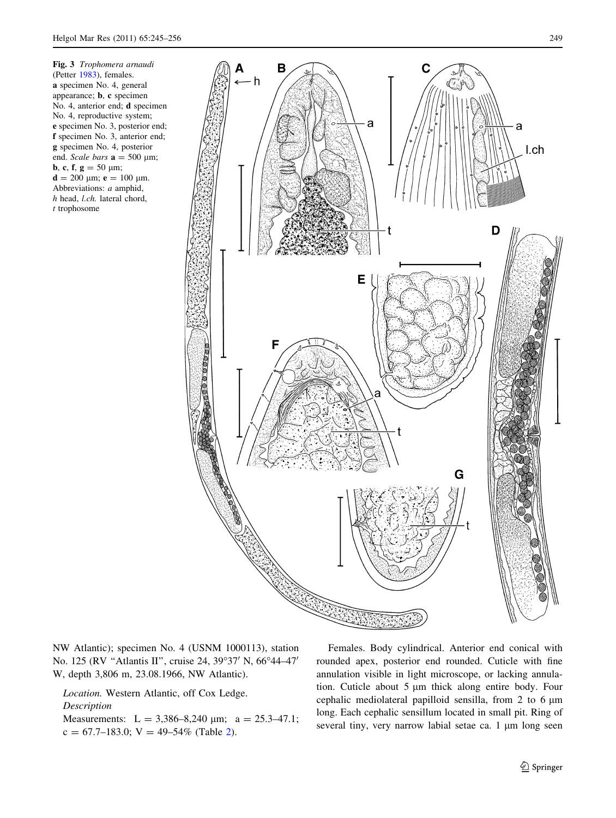<span id="page-4-0"></span>Fig. 3 Trophomera arnaudi (Petter [1983](#page-11-0)), females. a specimen No. 4, general appearance; b, c specimen No. 4, anterior end; d specimen No. 4, reproductive system; e specimen No. 3, posterior end; f specimen No. 3, anterior end; g specimen No. 4, posterior end. Scale bars  $a = 500 \text{ }\mu\text{m}$ ; **b**, **c**, **f**, **g** = 50  $\mu$ m;  $d = 200 \mu m$ ;  $e = 100 \mu m$ . Abbreviations: a amphid, h head, l.ch. lateral chord, t trophosome



NW Atlantic); specimen No. 4 (USNM 1000113), station No. 125 (RV "Atlantis II", cruise 24, 39°37' N, 66°44-47' W, depth 3,806 m, 23.08.1966, NW Atlantic).

Location. Western Atlantic, off Cox Ledge. Description Measurements:  $L = 3,386-8,240 \text{ µm}; a = 25.3-47.1;$  $c = 67.7{\text -}183.0$ ; V = 49-54% (Table [2\)](#page-5-0).

Females. Body cylindrical. Anterior end conical with rounded apex, posterior end rounded. Cuticle with fine annulation visible in light microscope, or lacking annulation. Cuticle about  $5 \mu m$  thick along entire body. Four cephalic mediolateral papilloid sensilla, from  $2$  to  $6 \mu m$ long. Each cephalic sensillum located in small pit. Ring of several tiny, very narrow labial setae ca. 1 µm long seen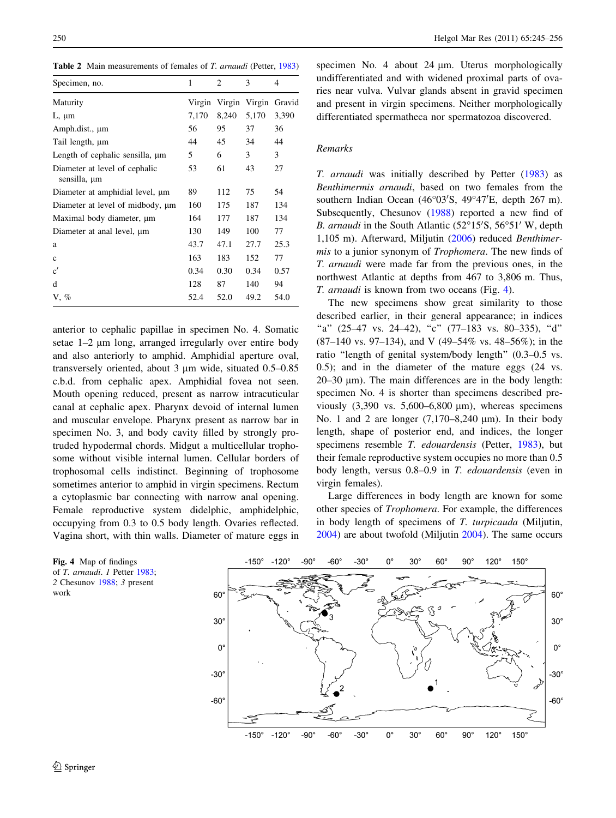<span id="page-5-0"></span>Table 2 Main measurements of females of T. arnaudi (Petter, [1983](#page-11-0))

| 1      | 2      | 3      | 4      |
|--------|--------|--------|--------|
| Virgin | Virgin | Virgin | Gravid |
| 7,170  | 8,240  | 5,170  | 3,390  |
| 56     | 95     | 37     | 36     |
| 44     | 45     | 34     | 44     |
| 5      | 6      | 3      | 3      |
| 53     | 61     | 43     | 27     |
| 89     | 112    | 75     | 54     |
| 160    | 175    | 187    | 134    |
| 164    | 177    | 187    | 134    |
| 130    | 149    | 100    | 77     |
| 43.7   | 47.1   | 27.7   | 25.3   |
| 163    | 183    | 152    | 77     |
| 0.34   | 0.30   | 0.34   | 0.57   |
| 128    | 87     | 140    | 94     |
| 52.4   | 52.0   | 49.2   | 54.0   |
|        |        |        |        |

anterior to cephalic papillae in specimen No. 4. Somatic setae 1-2 µm long, arranged irregularly over entire body and also anteriorly to amphid. Amphidial aperture oval, transversely oriented, about  $3 \mu m$  wide, situated  $0.5-0.85$ c.b.d. from cephalic apex. Amphidial fovea not seen. Mouth opening reduced, present as narrow intracuticular canal at cephalic apex. Pharynx devoid of internal lumen and muscular envelope. Pharynx present as narrow bar in specimen No. 3, and body cavity filled by strongly protruded hypodermal chords. Midgut a multicellular trophosome without visible internal lumen. Cellular borders of trophosomal cells indistinct. Beginning of trophosome sometimes anterior to amphid in virgin specimens. Rectum a cytoplasmic bar connecting with narrow anal opening. Female reproductive system didelphic, amphidelphic, occupying from 0.3 to 0.5 body length. Ovaries reflected. Vagina short, with thin walls. Diameter of mature eggs in

Fig. 4 Map of findings of T. arnaudi. 1 Petter [1983;](#page-11-0) 2 Chesunov [1988;](#page-10-0) 3 present work

specimen No. 4 about 24 um. Uterus morphologically undifferentiated and with widened proximal parts of ovaries near vulva. Vulvar glands absent in gravid specimen and present in virgin specimens. Neither morphologically differentiated spermatheca nor spermatozoa discovered.

#### Remarks

T. arnaudi was initially described by Petter ([1983\)](#page-11-0) as Benthimermis arnaudi, based on two females from the southern Indian Ocean (46°03'S, 49°47'E, depth 267 m). Subsequently, Chesunov [\(1988](#page-10-0)) reported a new find of B. arnaudi in the South Atlantic (52°15'S, 56°51' W, depth 1,105 m). Afterward, Miljutin ([2006\)](#page-11-0) reduced Benthimermis to a junior synonym of Trophomera. The new finds of T. arnaudi were made far from the previous ones, in the northwest Atlantic at depths from 467 to 3,806 m. Thus, T. arnaudi is known from two oceans (Fig. 4).

The new specimens show great similarity to those described earlier, in their general appearance; in indices "a" (25–47 vs. 24–42), "c" (77–183 vs. 80–335), "d" (87–140 vs. 97–134), and V (49–54% vs. 48–56%); in the ratio "length of genital system/body length" (0.3–0.5 vs. 0.5); and in the diameter of the mature eggs (24 vs.  $20-30 \mu m$ ). The main differences are in the body length: specimen No. 4 is shorter than specimens described previously  $(3,390 \text{ vs. } 5,600-6,800 \text{ µm})$ , whereas specimens No. 1 and 2 are longer  $(7,170-8,240 \text{ }\mu\text{m})$ . In their body length, shape of posterior end, and indices, the longer specimens resemble T. edouardensis (Petter, [1983](#page-11-0)), but their female reproductive system occupies no more than 0.5 body length, versus 0.8–0.9 in T. edouardensis (even in virgin females).

Large differences in body length are known for some other species of Trophomera. For example, the differences in body length of specimens of T. turpicauda (Miljutin, [2004](#page-11-0)) are about twofold (Miljutin [2004\)](#page-11-0). The same occurs

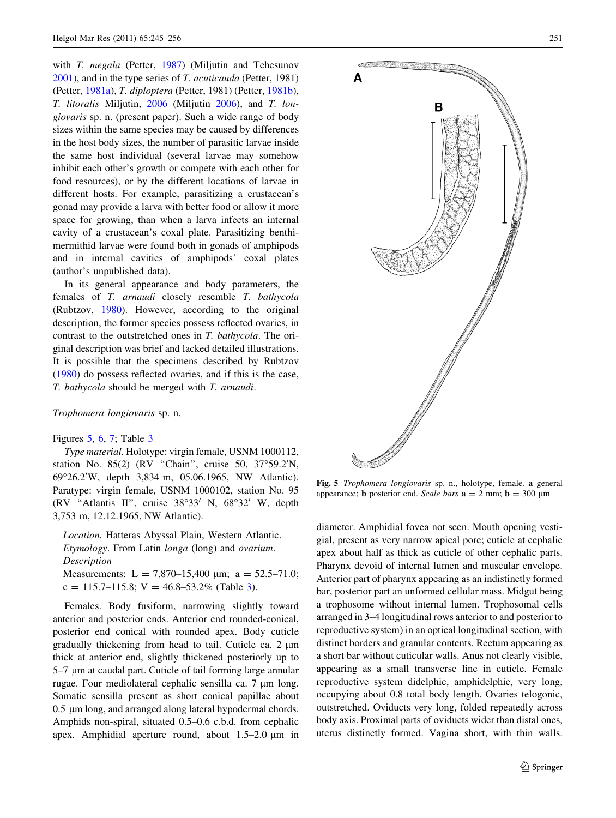with *T. megala* (Petter, [1987\)](#page-11-0) (Miliutin and Tchesunov [2001\)](#page-11-0), and in the type series of T. acuticauda (Petter, 1981) (Petter, [1981a](#page-11-0)), T. diploptera (Petter, 1981) (Petter, [1981b](#page-11-0)), T. litoralis Miljutin, [2006](#page-11-0) (Miljutin [2006\)](#page-11-0), and T. longiovaris sp. n. (present paper). Such a wide range of body sizes within the same species may be caused by differences in the host body sizes, the number of parasitic larvae inside the same host individual (several larvae may somehow inhibit each other's growth or compete with each other for food resources), or by the different locations of larvae in different hosts. For example, parasitizing a crustacean's gonad may provide a larva with better food or allow it more space for growing, than when a larva infects an internal cavity of a crustacean's coxal plate. Parasitizing benthimermithid larvae were found both in gonads of amphipods and in internal cavities of amphipods' coxal plates (author's unpublished data).

In its general appearance and body parameters, the females of T. arnaudi closely resemble T. bathycola (Rubtzov, [1980\)](#page-11-0). However, according to the original description, the former species possess reflected ovaries, in contrast to the outstretched ones in T. bathycola. The original description was brief and lacked detailed illustrations. It is possible that the specimens described by Rubtzov [\(1980](#page-11-0)) do possess reflected ovaries, and if this is the case, T. bathycola should be merged with T. arnaudi.

Trophomera longiovaris sp. n.

#### Figures 5, [6](#page-7-0), [7;](#page-8-0) Table [3](#page-9-0)

Type material. Holotype: virgin female, USNM 1000112, station No. 85(2) (RV "Chain", cruise 50, 37°59.2'N, 69°26.2'W, depth 3,834 m, 05.06.1965, NW Atlantic). Paratype: virgin female, USNM 1000102, station No. 95 (RV "Atlantis II", cruise  $38^{\circ}33'$  N,  $68^{\circ}32'$  W, depth 3,753 m, 12.12.1965, NW Atlantic).

Location. Hatteras Abyssal Plain, Western Atlantic. Etymology. From Latin longa (long) and ovarium. Description

Measurements: L = 7,870-15,400  $\mu$ m; a = 52.5-71.0;  $c = 115.7 - 115.8$ ;  $V = 46.8 - 53.2%$  $V = 46.8 - 53.2%$  $V = 46.8 - 53.2%$  (Table 3).

Females. Body fusiform, narrowing slightly toward anterior and posterior ends. Anterior end rounded-conical, posterior end conical with rounded apex. Body cuticle gradually thickening from head to tail. Cuticle ca.  $2 \mu m$ thick at anterior end, slightly thickened posteriorly up to 5–7 lm at caudal part. Cuticle of tail forming large annular rugae. Four mediolateral cephalic sensilla ca.  $7 \mu m$  long. Somatic sensilla present as short conical papillae about 0.5 µm long, and arranged along lateral hypodermal chords. Amphids non-spiral, situated 0.5–0.6 c.b.d. from cephalic apex. Amphidial aperture round, about  $1.5-2.0 \mu m$  in



Fig. 5 Trophomera longiovaris sp. n., holotype, female. a general appearance; **b** posterior end. Scale bars  $\mathbf{a} = 2$  mm;  $\mathbf{b} = 300$  µm

diameter. Amphidial fovea not seen. Mouth opening vestigial, present as very narrow apical pore; cuticle at cephalic apex about half as thick as cuticle of other cephalic parts. Pharynx devoid of internal lumen and muscular envelope. Anterior part of pharynx appearing as an indistinctly formed bar, posterior part an unformed cellular mass. Midgut being a trophosome without internal lumen. Trophosomal cells arranged in 3–4 longitudinal rows anterior to and posterior to reproductive system) in an optical longitudinal section, with distinct borders and granular contents. Rectum appearing as a short bar without cuticular walls. Anus not clearly visible, appearing as a small transverse line in cuticle. Female reproductive system didelphic, amphidelphic, very long, occupying about 0.8 total body length. Ovaries telogonic, outstretched. Oviducts very long, folded repeatedly across body axis. Proximal parts of oviducts wider than distal ones, uterus distinctly formed. Vagina short, with thin walls.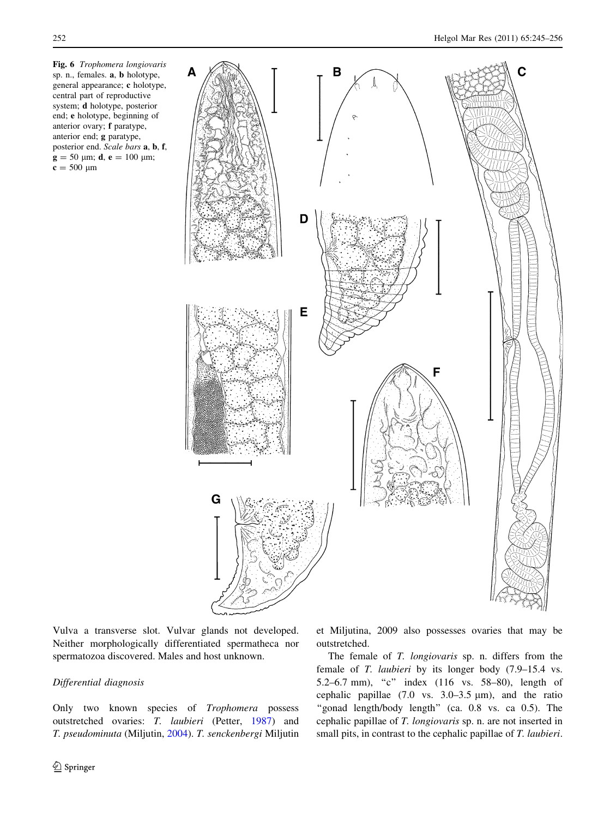<span id="page-7-0"></span>



Vulva a transverse slot. Vulvar glands not developed. Neither morphologically differentiated spermatheca nor spermatozoa discovered. Males and host unknown.

# Differential diagnosis

Only two known species of Trophomera possess outstretched ovaries: T. laubieri (Petter, [1987\)](#page-11-0) and T. pseudominuta (Miljutin, [2004\)](#page-11-0). T. senckenbergi Miljutin et Miljutina, 2009 also possesses ovaries that may be outstretched.

The female of T. longiovaris sp. n. differs from the female of T. laubieri by its longer body (7.9–15.4 vs. 5.2–6.7 mm), ''c'' index (116 vs. 58–80), length of cephalic papillae  $(7.0 \text{ vs. } 3.0-3.5 \text{ µm})$ , and the ratio "gonad length/body length" (ca. 0.8 vs. ca 0.5). The cephalic papillae of T. longiovaris sp. n. are not inserted in small pits, in contrast to the cephalic papillae of T. laubieri.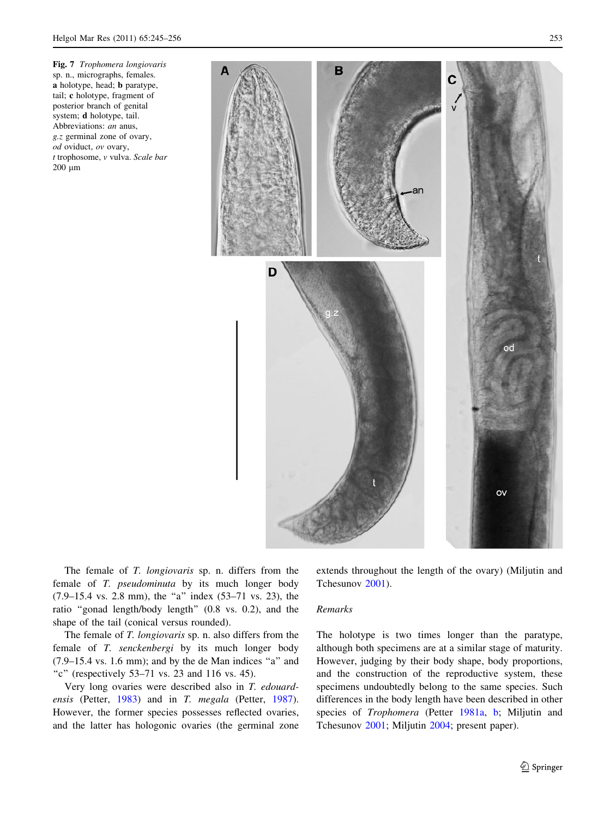<span id="page-8-0"></span>Fig. 7 Trophomera longiovaris sp. n., micrographs, females. a holotype, head; b paratype, tail; c holotype, fragment of posterior branch of genital system; d holotype, tail. Abbreviations: an anus, g.z germinal zone of ovary, od oviduct, ov ovary, t trophosome, v vulva. Scale bar  $200 \mu m$ 



The female of T. longiovaris sp. n. differs from the female of T. pseudominuta by its much longer body  $(7.9-15.4 \text{ vs. } 2.8 \text{ mm})$ , the "a" index  $(53-71 \text{ vs. } 23)$ , the ratio ''gonad length/body length'' (0.8 vs. 0.2), and the shape of the tail (conical versus rounded).

The female of T. longiovaris sp. n. also differs from the female of T. senckenbergi by its much longer body  $(7.9-15.4 \text{ vs. } 1.6 \text{ mm})$ ; and by the de Man indices "a" and "c" (respectively  $53-71$  vs. 23 and 116 vs. 45).

Very long ovaries were described also in T. edouard-ensis (Petter, [1983\)](#page-11-0) and in T. megala (Petter, [1987](#page-11-0)). However, the former species possesses reflected ovaries, and the latter has hologonic ovaries (the germinal zone extends throughout the length of the ovary) (Miljutin and Tchesunov [2001](#page-11-0)).

#### Remarks

The holotype is two times longer than the paratype, although both specimens are at a similar stage of maturity. However, judging by their body shape, body proportions, and the construction of the reproductive system, these specimens undoubtedly belong to the same species. Such differences in the body length have been described in other species of Trophomera (Petter [1981a,](#page-11-0) [b](#page-11-0); Miljutin and Tchesunov [2001](#page-11-0); Miljutin [2004;](#page-11-0) present paper).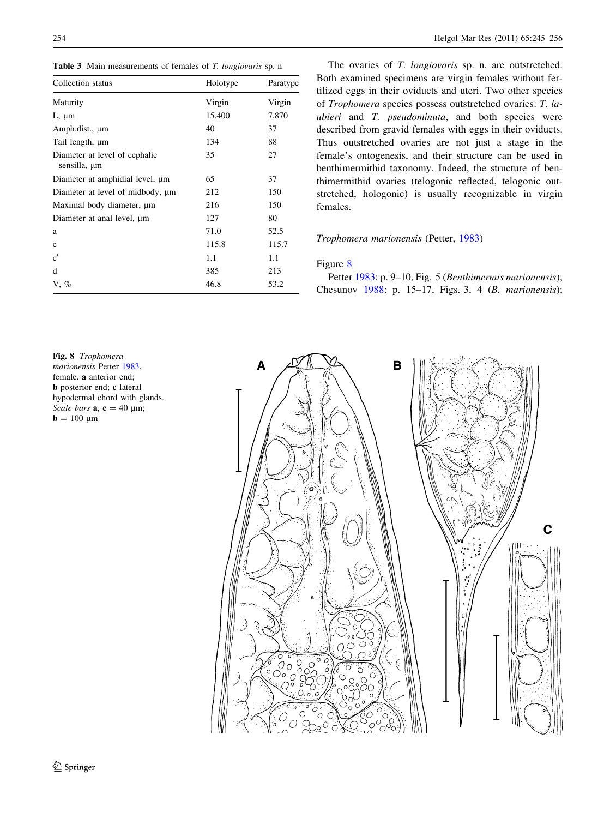<span id="page-9-0"></span>Table 3 Main measurements of females of T. longiovaris sp. n

| Collection status                             | Holotype | Paratype |  |
|-----------------------------------------------|----------|----------|--|
| Maturity                                      | Virgin   | Virgin   |  |
| $L, \mu m$                                    | 15,400   | 7,870    |  |
| Amph.dist., µm                                | 40       | 37       |  |
| Tail length, µm                               | 134      | 88       |  |
| Diameter at level of cephalic<br>sensilla, µm | 35       | 27       |  |
| Diameter at amphidial level, $\mu$ m          | 65       | 37       |  |
| Diameter at level of midbody, $\mu$ m         | 212      | 150      |  |
| Maximal body diameter, um                     | 216      | 150      |  |
| Diameter at anal level, $\mu$ m               | 127      | 80       |  |
| a                                             | 71.0     | 52.5     |  |
| $\mathbf{c}$                                  | 115.8    | 115.7    |  |
| c'                                            | 1.1      | 1.1      |  |
| d                                             | 385      | 213      |  |
| $V, \%$                                       | 46.8     | 53.2     |  |

The ovaries of T. longiovaris sp. n. are outstretched. Both examined specimens are virgin females without fertilized eggs in their oviducts and uteri. Two other species of Trophomera species possess outstretched ovaries: T. laubieri and T. pseudominuta, and both species were described from gravid females with eggs in their oviducts. Thus outstretched ovaries are not just a stage in the female's ontogenesis, and their structure can be used in benthimermithid taxonomy. Indeed, the structure of benthimermithid ovaries (telogonic reflected, telogonic outstretched, hologonic) is usually recognizable in virgin females.

# Trophomera marionensis (Petter, [1983\)](#page-11-0)

# Figure 8

Petter [1983](#page-11-0): p. 9-10, Fig. 5 (Benthimermis marionensis); Chesunov [1988:](#page-10-0) p. 15–17, Figs. 3, 4 (B. marionensis);

Fig. 8 Trophomera marionensis Petter [1983,](#page-11-0) female. a anterior end; b posterior end; c lateral hypodermal chord with glands. Scale bars  $a, c = 40 \mu m$ ;  $\mathbf{b} = 100 \text{ }\mu\text{m}$ 

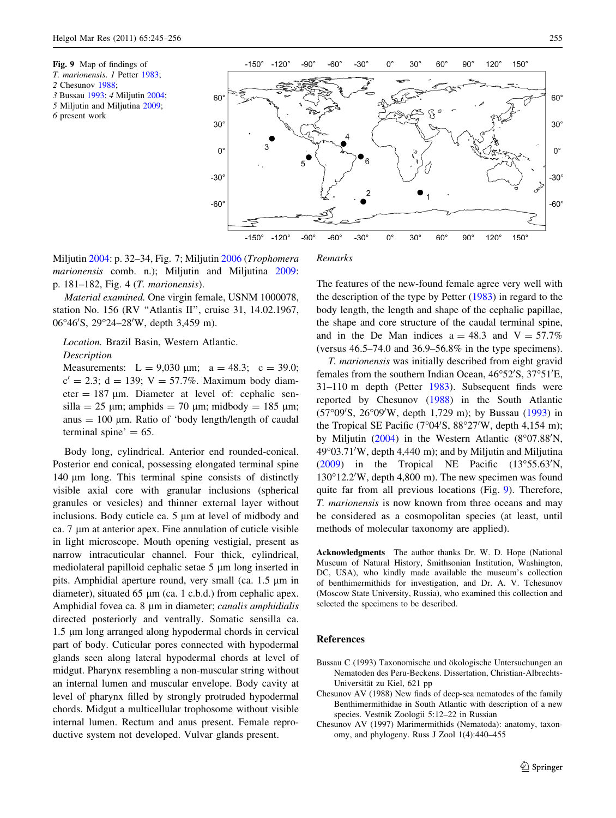- <span id="page-10-0"></span>2 Chesunov 1988;
- 3 Bussau 1993; 4 Miljutin [2004](#page-11-0);
- 5 Miljutin and Miljutina [2009](#page-11-0);
- 6 present work



Miljutin [2004:](#page-11-0) p. 32–34, Fig. 7; Miljutin [2006](#page-11-0) (Trophomera marionensis comb. n.); Miljutin and Miljutina [2009](#page-11-0):

Remarks

Material examined. One virgin female, USNM 1000078, station No. 156 (RV "Atlantis II", cruise 31, 14.02.1967, 06°46'S, 29°24–28'W, depth 3,459 m).

# Location. Brazil Basin, Western Atlantic. Description

p. 181–182, Fig. 4 (T. marionensis).

Measurements:  $L = 9,030 \text{ µm}; a = 48.3; c = 39.0;$  $c' = 2.3$ ; d = 139; V = 57.7%. Maximum body diameter  $= 187$  µm. Diameter at level of: cephalic sensilla = 25  $\mu$ m; amphids = 70  $\mu$ m; midbody = 185  $\mu$ m; anus  $= 100 \mu m$ . Ratio of 'body length/length of caudal terminal spine'  $= 65$ .

Body long, cylindrical. Anterior end rounded-conical. Posterior end conical, possessing elongated terminal spine 140  $\mu$ m long. This terminal spine consists of distinctly visible axial core with granular inclusions (spherical granules or vesicles) and thinner external layer without inclusions. Body cuticle ca.  $5 \mu m$  at level of midbody and ca.  $7 \mu m$  at anterior apex. Fine annulation of cuticle visible in light microscope. Mouth opening vestigial, present as narrow intracuticular channel. Four thick, cylindrical, mediolateral papilloid cephalic setae  $5 \mu m$  long inserted in pits. Amphidial aperture round, very small (ca.  $1.5 \mu m$  in diameter), situated  $65 \mu m$  (ca. 1 c.b.d.) from cephalic apex. Amphidial fovea ca. 8 µm in diameter; canalis amphidialis directed posteriorly and ventrally. Somatic sensilla ca. 1.5  $\mu$ m long arranged along hypodermal chords in cervical part of body. Cuticular pores connected with hypodermal glands seen along lateral hypodermal chords at level of midgut. Pharynx resembling a non-muscular string without an internal lumen and muscular envelope. Body cavity at level of pharynx filled by strongly protruded hypodermal chords. Midgut a multicellular trophosome without visible internal lumen. Rectum and anus present. Female reproductive system not developed. Vulvar glands present.

The features of the new-found female agree very well with the description of the type by Petter ([1983\)](#page-11-0) in regard to the body length, the length and shape of the cephalic papillae, the shape and core structure of the caudal terminal spine, and in the De Man indices  $a = 48.3$  and  $V = 57.7\%$ (versus 46.5–74.0 and 36.9–56.8% in the type specimens).

T. marionensis was initially described from eight gravid females from the southern Indian Ocean, 46°52'S, 37°51'E, 31–110 m depth (Petter [1983\)](#page-11-0). Subsequent finds were reported by Chesunov (1988) in the South Atlantic (57°09'S, 26°09'W, depth 1,729 m); by Bussau (1993) in the Tropical SE Pacific (7°04'S,  $88°27'W$ , depth 4,154 m); by Miljutin  $(2004)$  $(2004)$  in the Western Atlantic  $(8°07.88'N,$ 49°03.71'W, depth 4,440 m); and by Miljutin and Miljutina  $(2009)$  $(2009)$  in the Tropical NE Pacific  $(13°55.63'N,$ 130°12.2′W, depth 4,800 m). The new specimen was found quite far from all previous locations (Fig. 9). Therefore, T. marionensis is now known from three oceans and may be considered as a cosmopolitan species (at least, until methods of molecular taxonomy are applied).

Acknowledgments The author thanks Dr. W. D. Hope (National Museum of Natural History, Smithsonian Institution, Washington, DC, USA), who kindly made available the museum's collection of benthimermithids for investigation, and Dr. A. V. Tchesunov (Moscow State University, Russia), who examined this collection and selected the specimens to be described.

#### References

- Bussau C (1993) Taxonomische und ökologische Untersuchungen an Nematoden des Peru-Beckens. Dissertation, Christian-Albrechts-Universität zu Kiel, 621 pp
- Chesunov AV (1988) New finds of deep-sea nematodes of the family Benthimermithidae in South Atlantic with description of a new species. Vestnik Zoologii 5:12–22 in Russian
- Chesunov AV (1997) Marimermithids (Nematoda): anatomy, taxonomy, and phylogeny. Russ J Zool 1(4):440–455